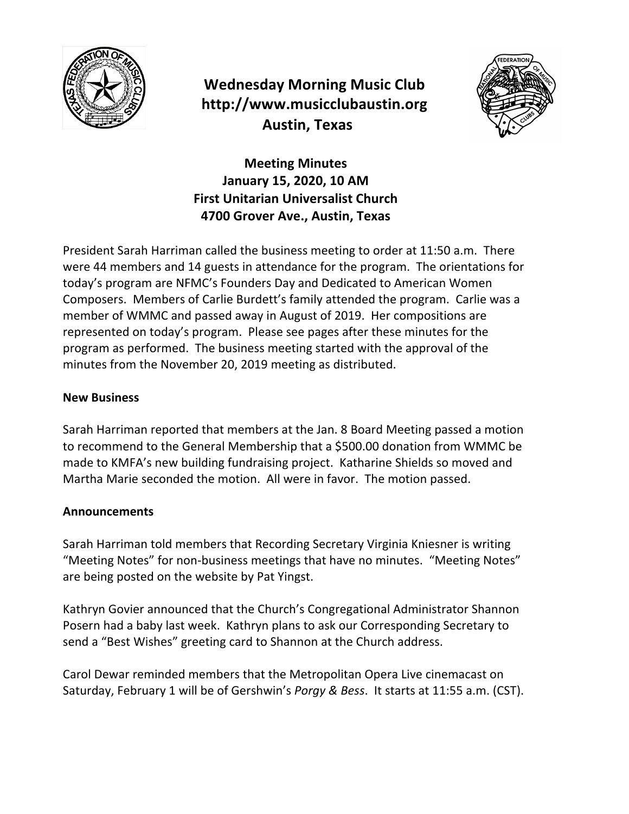

# **Wednesday Morning Music Club http://www.musicclubaustin.org Austin, Texas**



**Meeting Minutes** January 15, 2020, 10 AM **First Unitarian Universalist Church 4700 Grover Ave., Austin, Texas**

President Sarah Harriman called the business meeting to order at 11:50 a.m. There were 44 members and 14 guests in attendance for the program. The orientations for today's program are NFMC's Founders Day and Dedicated to American Women Composers. Members of Carlie Burdett's family attended the program. Carlie was a member of WMMC and passed away in August of 2019. Her compositions are represented on today's program. Please see pages after these minutes for the program as performed. The business meeting started with the approval of the minutes from the November 20, 2019 meeting as distributed.

## **New Business**

Sarah Harriman reported that members at the Jan. 8 Board Meeting passed a motion to recommend to the General Membership that a \$500.00 donation from WMMC be made to KMFA's new building fundraising project. Katharine Shields so moved and Martha Marie seconded the motion. All were in favor. The motion passed.

### **Announcements**

Sarah Harriman told members that Recording Secretary Virginia Kniesner is writing "Meeting Notes" for non-business meetings that have no minutes. "Meeting Notes" are being posted on the website by Pat Yingst.

Kathryn Govier announced that the Church's Congregational Administrator Shannon Posern had a baby last week. Kathryn plans to ask our Corresponding Secretary to send a "Best Wishes" greeting card to Shannon at the Church address.

Carol Dewar reminded members that the Metropolitan Opera Live cinemacast on Saturday, February 1 will be of Gershwin's *Porgy & Bess*. It starts at 11:55 a.m. (CST).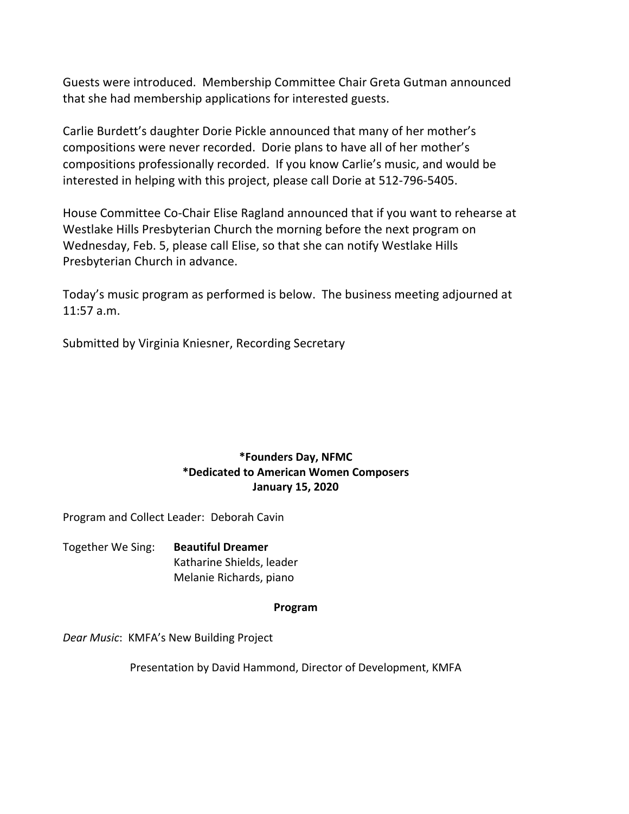Guests were introduced. Membership Committee Chair Greta Gutman announced that she had membership applications for interested guests.

Carlie Burdett's daughter Dorie Pickle announced that many of her mother's compositions were never recorded. Dorie plans to have all of her mother's compositions professionally recorded. If you know Carlie's music, and would be interested in helping with this project, please call Dorie at 512-796-5405.

House Committee Co-Chair Elise Ragland announced that if you want to rehearse at Westlake Hills Presbyterian Church the morning before the next program on Wednesday, Feb. 5, please call Elise, so that she can notify Westlake Hills Presbyterian Church in advance.

Today's music program as performed is below. The business meeting adjourned at 11:57 a.m.

Submitted by Virginia Kniesner, Recording Secretary

### **\*Founders Day, NFMC \*Dedicated to American Women Composers January 15, 2020**

Program and Collect Leader: Deborah Cavin

Together We Sing: **Beautiful Dreamer** Katharine Shields, leader Melanie Richards, piano

#### **Program**

Dear Music: KMFA's New Building Project

Presentation by David Hammond, Director of Development, KMFA